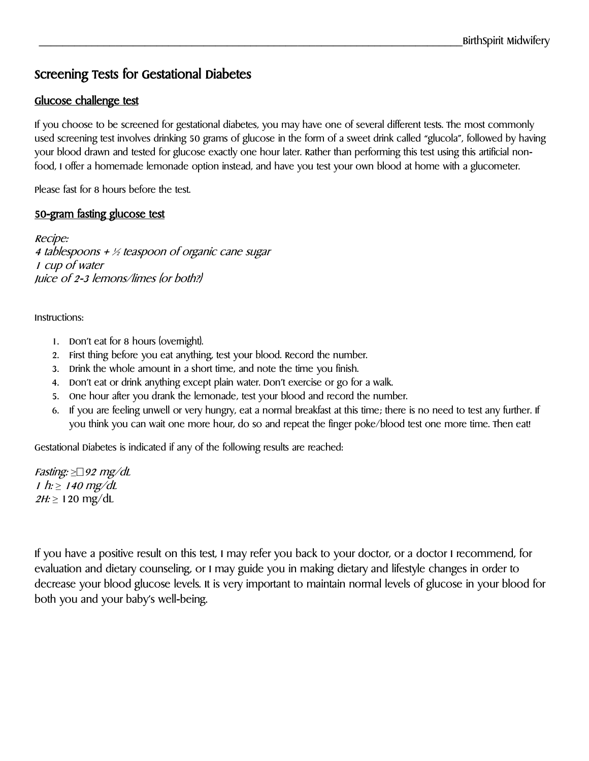# Screening Tests for Gestational Diabetes

#### Glucose challenge test

If you choose to be screened for gestational diabetes, you may have one of several different tests. The most commonly used screening test involves drinking 50 grams of glucose in the form of a sweet drink called "glucola", followed by having your blood drawn and tested for glucose exactly one hour later. Rather than performing this test using this artificial nonfood, I offer a homemade lemonade option instead, and have you test your own blood at home with a glucometer.

Please fast for 8 hours before the test.

#### 50-gram fasting glucose test

Recipe: 4 tablespoons +  $\frac{1}{2}$  teaspoon of organic cane sugar 1 cup of water Juice of 2-3 lemons/limes (or both?)

Instructions:

- 1. Don't eat for 8 hours (overnight).
- 2. First thing before you eat anything, test your blood. Record the number.
- 3. Drink the whole amount in a short time, and note the time you finish.
- 4. Don't eat or drink anything except plain water. Don't exercise or go for a walk.
- 5. One hour after you drank the lemonade, test your blood and record the number.
- 6. If you are feeling unwell or very hungry, eat a normal breakfast at this time; there is no need to test any further. If you think you can wait one more hour, do so and repeat the finger poke/blood test one more time. Then eat!

Gestational Diabetes is indicated if any of the following results are reached:

Fasting:  $\geq \qquad \qquad$  92 mg/dL 1 h: ≥ 140 mg/dL 2H: ≥ 120 mg/dL

If you have a positive result on this test, I may refer you back to your doctor, or a doctor I recommend, for evaluation and dietary counseling, or I may guide you in making dietary and lifestyle changes in order to decrease your blood glucose levels. It is very important to maintain normal levels of glucose in your blood for both you and your baby's well-being.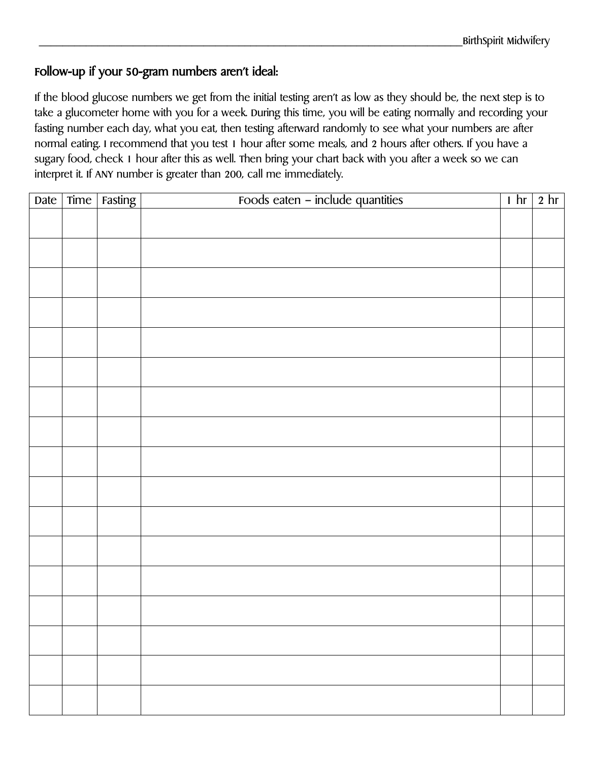## Follow-up if your 50-gram numbers aren't ideal:

If the blood glucose numbers we get from the initial testing aren't as low as they should be, the next step is to take a glucometer home with you for a week. During this time, you will be eating normally and recording your fasting number each day, what you eat, then testing afterward randomly to see what your numbers are after normal eating. I recommend that you test 1 hour after some meals, and 2 hours after others. If you have a sugary food, check 1 hour after this as well. Then bring your chart back with you after a week so we can interpret it. If ANY number is greater than 200, call me immediately.

| Date | Time   Fasting | Foods eaten - include quantities | 1 hr | $2 \text{ hr}$ |
|------|----------------|----------------------------------|------|----------------|
|      |                |                                  |      |                |
|      |                |                                  |      |                |
|      |                |                                  |      |                |
|      |                |                                  |      |                |
|      |                |                                  |      |                |
|      |                |                                  |      |                |
|      |                |                                  |      |                |
|      |                |                                  |      |                |
|      |                |                                  |      |                |
|      |                |                                  |      |                |
|      |                |                                  |      |                |
|      |                |                                  |      |                |
|      |                |                                  |      |                |
|      |                |                                  |      |                |
|      |                |                                  |      |                |
|      |                |                                  |      |                |
|      |                |                                  |      |                |
|      |                |                                  |      |                |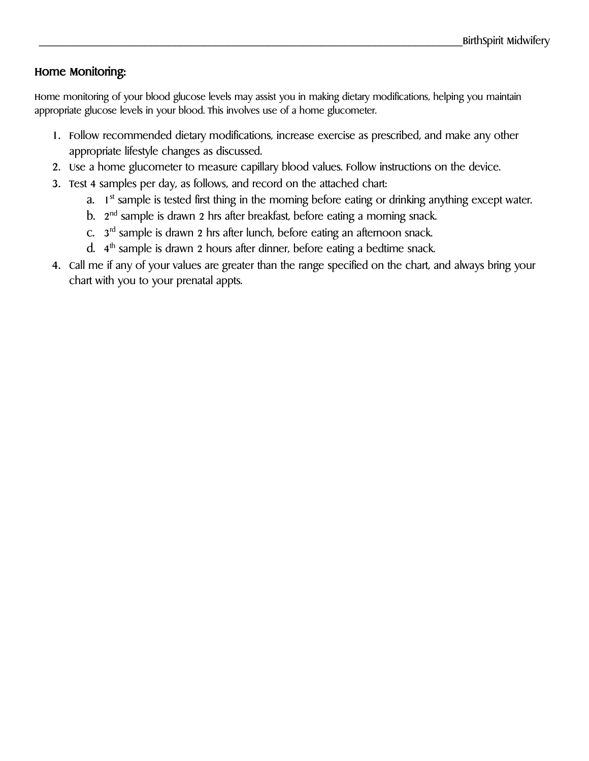### Home Monitoring:

Home monitoring of your blood glucose levels may assist you in making dietary modifications, helping you maintain appropriate glucose levels in your blood. This involves use of a home glucometer.

- 1. Follow recommended dietary modifications, increase exercise as prescribed, and make any other appropriate lifestyle changes as discussed.
- 2. Use a home glucometer to measure capillary blood values. Follow instructions on the device.
- 3. Test 4 samples per day, as follows, and record on the attached chart:
	- a. 1 st sample is tested first thing in the morning before eating or drinking anything except water.
	- b. 2 nd sample is drawn 2 hrs after breakfast, before eating a morning snack.
	- c. 3 rd sample is drawn 2 hrs after lunch, before eating an afternoon snack.
	- d. 4 th sample is drawn 2 hours after dinner, before eating a bedtime snack.
- 4. Call me if any of your values are greater than the range specified on the chart, and always bring your chart with you to your prenatal appts.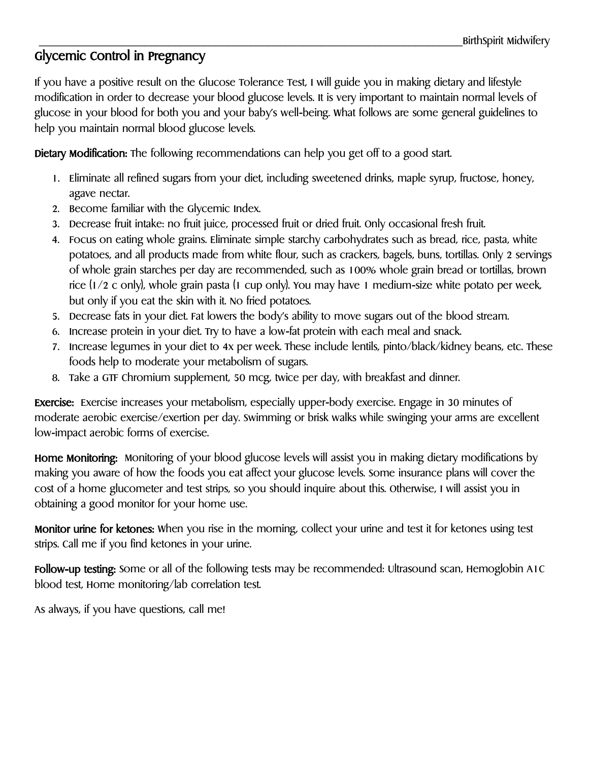# Glycemic Control in Pregnancy

If you have a positive result on the Glucose Tolerance Test, I will guide you in making dietary and lifestyle modification in order to decrease your blood glucose levels. It is very important to maintain normal levels of glucose in your blood for both you and your baby's well-being. What follows are some general guidelines to help you maintain normal blood glucose levels.

Dietary Modification: The following recommendations can help you get off to a good start.

- 1. Eliminate all refined sugars from your diet, including sweetened drinks, maple syrup, fructose, honey, agave nectar.
- 2. Become familiar with the Glycemic Index.
- 3. Decrease fruit intake: no fruit juice, processed fruit or dried fruit. Only occasional fresh fruit.
- 4. Focus on eating whole grains. Eliminate simple starchy carbohydrates such as bread, rice, pasta, white potatoes, and all products made from white flour, such as crackers, bagels, buns, tortillas. Only 2 servings of whole grain starches per day are recommended, such as 100% whole grain bread or tortillas, brown rice (1/2 c only), whole grain pasta (1 cup only). You may have 1 medium-size white potato per week, but only if you eat the skin with it. No fried potatoes.
- 5. Decrease fats in your diet. Fat lowers the body's ability to move sugars out of the blood stream.
- 6. Increase protein in your diet. Try to have a low-fat protein with each meal and snack.
- 7. Increase legumes in your diet to 4x per week. These include lentils, pinto/black/kidney beans, etc. These foods help to moderate your metabolism of sugars.
- 8. Take a GTF Chromium supplement, 50 mcg, twice per day, with breakfast and dinner.

Exercise: Exercise increases your metabolism, especially upper-body exercise. Engage in 30 minutes of moderate aerobic exercise/exertion per day. Swimming or brisk walks while swinging your arms are excellent low-impact aerobic forms of exercise.

Home Monitoring: Monitoring of your blood glucose levels will assist you in making dietary modifications by making you aware of how the foods you eat affect your glucose levels. Some insurance plans will cover the cost of a home glucometer and test strips, so you should inquire about this. Otherwise, I will assist you in obtaining a good monitor for your home use.

Monitor urine for ketones: When you rise in the morning, collect your urine and test it for ketones using test strips. Call me if you find ketones in your urine.

Follow-up testing: Some or all of the following tests may be recommended: Ultrasound scan, Hemoglobin A1C blood test, Home monitoring/lab correlation test.

As always, if you have questions, call me!